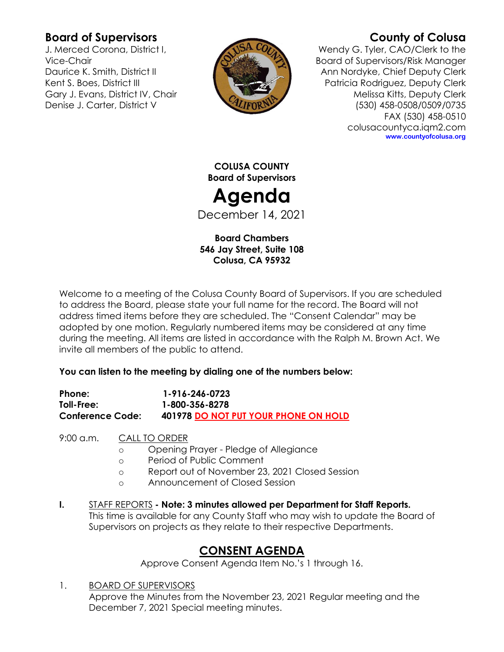# **Board of Supervisors**

J. Merced Corona, District I, Vice-Chair Daurice K. Smith, District II Kent S. Boes, District III Gary J. Evans, District IV, Chair Denise J. Carter, District V



# **County of Colusa**

Wendy G. Tyler, CAO/Clerk to the Board of Supervisors/Risk Manager Ann Nordyke, Chief Deputy Clerk Patricia Rodriguez, Deputy Clerk Melissa Kitts, Deputy Clerk (530) 458-0508/0509/0735 FAX (530) 458-0510 colusacountyca.iqm2.com **www.countyofcolusa.org**

**COLUSA COUNTY Board of Supervisors**

**Agenda**

December 14, 2021

**Board Chambers 546 Jay Street, Suite 108 Colusa, CA 95932**

Welcome to a meeting of the Colusa County Board of Supervisors. If you are scheduled to address the Board, please state your full name for the record. The Board will not address timed items before they are scheduled. The "Consent Calendar" may be adopted by one motion. Regularly numbered items may be considered at any time during the meeting. All items are listed in accordance with the Ralph M. Brown Act. We invite all members of the public to attend.

# **You can listen to the meeting by dialing one of the numbers below:**

| Phone:                  | 1-916-246-0723                       |
|-------------------------|--------------------------------------|
| Toll-Free:              | 1-800-356-8278                       |
| <b>Conference Code:</b> | 401978 DO NOT PUT YOUR PHONE ON HOLD |

9:00 a.m. CALL TO ORDER

- o Opening Prayer Pledge of Allegiance
- o Period of Public Comment
- o Report out of November 23, 2021 Closed Session
- o Announcement of Closed Session
- **I.** STAFF REPORTS **- Note: 3 minutes allowed per Department for Staff Reports.** This time is available for any County Staff who may wish to update the Board of Supervisors on projects as they relate to their respective Departments.

# **CONSENT AGENDA**

Approve Consent Agenda Item No.'s 1 through 16.

1. BOARD OF SUPERVISORS Approve the Minutes from the November 23, 2021 Regular meeting and the December 7, 2021 Special meeting minutes.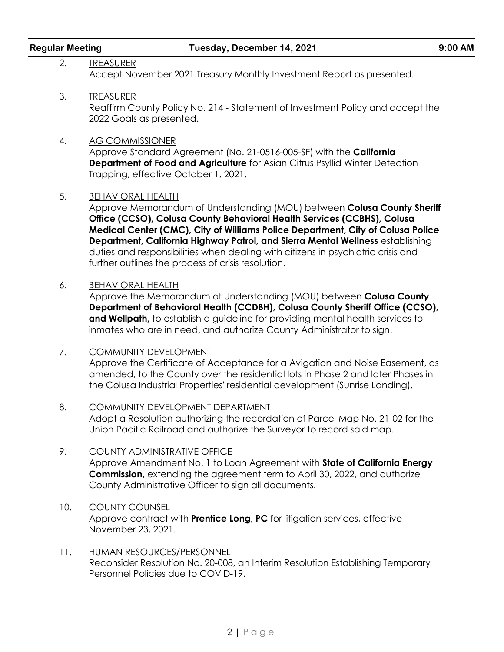| <b>Regular Meeting</b> |  |  |
|------------------------|--|--|
|                        |  |  |

2. TREASURER Accept November 2021 Treasury Monthly Investment Report as presented.

3. TREASURER Reaffirm County Policy No. 214 - Statement of Investment Policy and accept the 2022 Goals as presented.

#### 4. AG COMMISSIONER

Approve Standard Agreement (No. 21-0516-005-SF) with the **California Department of Food and Agriculture** for Asian Citrus Psyllid Winter Detection Trapping, effective October 1, 2021.

### 5. BEHAVIORAL HEALTH

Approve Memorandum of Understanding (MOU) between **Colusa County Sheriff Office (CCSO), Colusa County Behavioral Health Services (CCBHS), Colusa Medical Center (CMC), City of Williams Police Department, City of Colusa Police Department, California Highway Patrol, and Sierra Mental Wellness** establishing duties and responsibilities when dealing with citizens in psychiatric crisis and further outlines the process of crisis resolution.

### 6. BEHAVIORAL HEALTH

Approve the Memorandum of Understanding (MOU) between **Colusa County Department of Behavioral Health (CCDBH), Colusa County Sheriff Office (CCSO), and Wellpath,** to establish a guideline for providing mental health services to inmates who are in need, and authorize County Administrator to sign.

- 7. COMMUNITY DEVELOPMENT Approve the Certificate of Acceptance for a Avigation and Noise Easement, as amended, to the County over the residential lots in Phase 2 and later Phases in the Colusa Industrial Properties' residential development (Sunrise Landing).
- 8. COMMUNITY DEVELOPMENT DEPARTMENT Adopt a Resolution authorizing the recordation of Parcel Map No. 21-02 for the Union Pacific Railroad and authorize the Surveyor to record said map.
- 9. COUNTY ADMINISTRATIVE OFFICE Approve Amendment No. 1 to Loan Agreement with **State of California Energy Commission,** extending the agreement term to April 30, 2022, and authorize County Administrative Officer to sign all documents.

## 10. COUNTY COUNSEL Approve contract with **Prentice Long, PC** for litigation services, effective November 23, 2021.

11. HUMAN RESOURCES/PERSONNEL Reconsider Resolution No. 20-008, an Interim Resolution Establishing Temporary Personnel Policies due to COVID-19.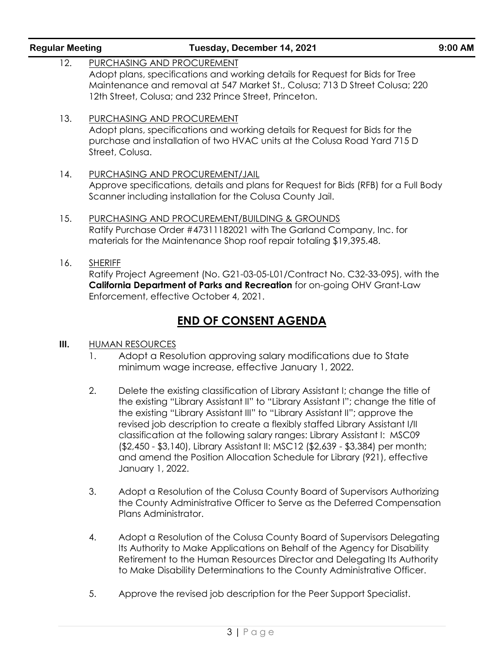| <b>Regular Meeting</b> | Tuesday, December 14, 2021                                                                                                                                                                                                                           | 9:00 AM |
|------------------------|------------------------------------------------------------------------------------------------------------------------------------------------------------------------------------------------------------------------------------------------------|---------|
| 12.                    | PURCHASING AND PROCUREMENT<br>Adopt plans, specifications and working details for Request for Bids for Tree<br>Maintenance and removal at 547 Market St., Colusa; 713 D Street Colusa; 220<br>12th Street, Colusa; and 232 Prince Street, Princeton. |         |
| 13.                    | PURCHASING AND PROCUREMENT<br>Adopt plans, specifications and working details for Request for Bids for the<br>purchase and installation of two HVAC units at the Colusa Road Yard 715 D<br>Street, Colusa.                                           |         |
| 14.                    | PURCHASING AND PROCUREMENT/JAIL<br>Approve specifications, details and plans for Request for Bids (RFB) for a Full Body<br>Scanner including installation for the Colusa County Jail.                                                                |         |
| 15.                    | PURCHASING AND PROCUREMENT/BUILDING & GROUNDS<br>Ratify Purchase Order #47311182021 with The Garland Company, Inc. for<br>materials for the Maintenance Shop roof repair totaling \$19,395.48.                                                       |         |
| 16.                    | <b>SHERIFF</b><br>Ratify Project Agreement (No. G21-03-05-L01/Contract No. C32-33-095), with the<br>California Department of Parks and Recreation for on-going OHV Grant-Law<br>Enforcement, effective October 4, 2021.                              |         |
|                        | <b>END OF CONSENT AGENDA</b>                                                                                                                                                                                                                         |         |
| III.                   | <b>HUMAN RESOURCES</b>                                                                                                                                                                                                                               |         |

- 1. Adopt a Resolution approving salary modifications due to State minimum wage increase, effective January 1, 2022.
- 2. Delete the existing classification of Library Assistant I; change the title of the existing "Library Assistant II" to "Library Assistant I"; change the title of the existing "Library Assistant III" to "Library Assistant II"; approve the revised job description to create a flexibly staffed Library Assistant I/II classification at the following salary ranges: Library Assistant I: MSC09 (\$2,450 - \$3,140), Library Assistant II: MSC12 (\$2,639 - \$3,384) per month; and amend the Position Allocation Schedule for Library (921), effective January 1, 2022.
- 3. Adopt a Resolution of the Colusa County Board of Supervisors Authorizing the County Administrative Officer to Serve as the Deferred Compensation Plans Administrator.
- 4. Adopt a Resolution of the Colusa County Board of Supervisors Delegating Its Authority to Make Applications on Behalf of the Agency for Disability Retirement to the Human Resources Director and Delegating Its Authority to Make Disability Determinations to the County Administrative Officer.
- 5. Approve the revised job description for the Peer Support Specialist.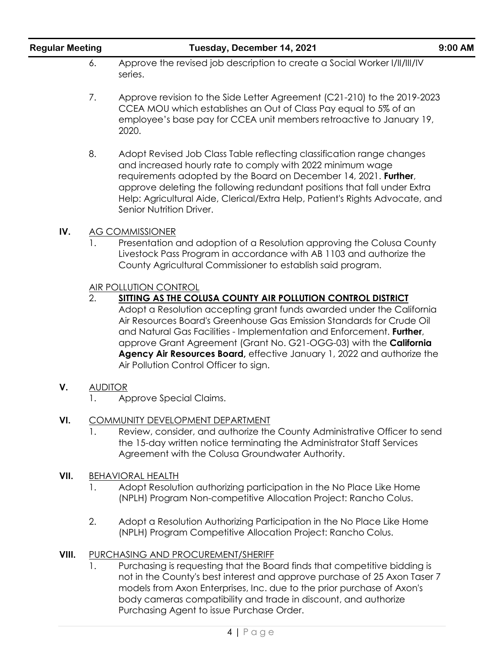| <b>Regular Meeting</b> |                  | Tuesday, December 14, 2021                                                                                                                                                                                                                                                                                                                                                                                                                                                                                               | 9:00 AM |
|------------------------|------------------|--------------------------------------------------------------------------------------------------------------------------------------------------------------------------------------------------------------------------------------------------------------------------------------------------------------------------------------------------------------------------------------------------------------------------------------------------------------------------------------------------------------------------|---------|
|                        | 6.               | Approve the revised job description to create a Social Worker I/II/III/IV<br>series.                                                                                                                                                                                                                                                                                                                                                                                                                                     |         |
|                        | 7.               | Approve revision to the Side Letter Agreement (C21-210) to the 2019-2023<br>CCEA MOU which establishes an Out of Class Pay equal to 5% of an<br>employee's base pay for CCEA unit members retroactive to January 19,<br>2020.                                                                                                                                                                                                                                                                                            |         |
|                        | 8.               | Adopt Revised Job Class Table reflecting classification range changes<br>and increased hourly rate to comply with 2022 minimum wage<br>requirements adopted by the Board on December 14, 2021. Further,<br>approve deleting the following redundant positions that fall under Extra<br>Help: Agricultural Aide, Clerical/Extra Help, Patient's Rights Advocate, and<br>Senior Nutrition Driver.                                                                                                                          |         |
| IV.                    |                  | <b>AG COMMISSIONER</b><br>Presentation and adoption of a Resolution approving the Colusa County<br>Livestock Pass Program in accordance with AB 1103 and authorize the<br>County Agricultural Commissioner to establish said program.                                                                                                                                                                                                                                                                                    |         |
|                        | $\overline{2}$ . | <b>AIR POLLUTION CONTROL</b><br>SITTING AS THE COLUSA COUNTY AIR POLLUTION CONTROL DISTRICT<br>Adopt a Resolution accepting grant funds awarded under the California<br>Air Resources Board's Greenhouse Gas Emission Standards for Crude Oil<br>and Natural Gas Facilities - Implementation and Enforcement. Further,<br>approve Grant Agreement (Grant No. G21-OGG-03) with the <b>California</b><br>Agency Air Resources Board, effective January 1, 2022 and authorize the<br>Air Pollution Control Officer to sign. |         |
| V.                     | <b>AUDITOR</b>   | Approve Special Claims.                                                                                                                                                                                                                                                                                                                                                                                                                                                                                                  |         |
| VI.                    |                  | <b>COMMUNITY DEVELOPMENT DEPARTMENT</b><br>Review, consider, and authorize the County Administrative Officer to send<br>the 15-day written notice terminating the Administrator Staff Services<br>Agreement with the Colusa Groundwater Authority.                                                                                                                                                                                                                                                                       |         |
| VII.                   | 1.               | <b>BEHAVIORAL HEALTH</b><br>Adopt Resolution authorizing participation in the No Place Like Home<br>(NPLH) Program Non-competitive Allocation Project: Rancho Colus.                                                                                                                                                                                                                                                                                                                                                     |         |
|                        | 2.               | Adopt a Resolution Authorizing Participation in the No Place Like Home<br>(NPLH) Program Competitive Allocation Project: Rancho Colus.                                                                                                                                                                                                                                                                                                                                                                                   |         |
| VIII.                  | Ι.               | PURCHASING AND PROCUREMENT/SHERIFF<br>Purchasing is requesting that the Board finds that competitive bidding is<br>not in the County's best interest and approve purchase of 25 Axon Taser 7<br>models from Axon Enterprises, Inc. due to the prior purchase of Axon's<br>body cameras compatibility and trade in discount, and authorize<br>Purchasing Agent to issue Purchase Order.                                                                                                                                   |         |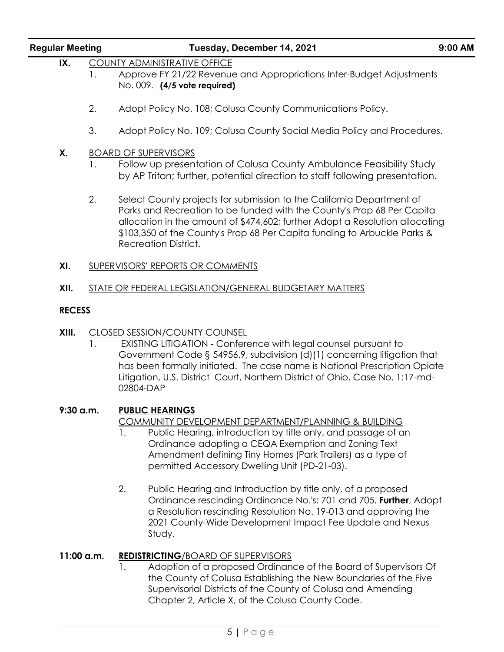| <b>Regular Meeting</b> |              | Tuesday, December 14, 2021                                                                                                                                                                                                                                                                                                                                      | $9:00$ AM |  |  |  |
|------------------------|--------------|-----------------------------------------------------------------------------------------------------------------------------------------------------------------------------------------------------------------------------------------------------------------------------------------------------------------------------------------------------------------|-----------|--|--|--|
| IX.                    | $\mathbf{L}$ | <b>COUNTY ADMINISTRATIVE OFFICE</b><br>Approve FY 21/22 Revenue and Appropriations Inter-Budget Adjustments<br>No. 009. (4/5 vote required)                                                                                                                                                                                                                     |           |  |  |  |
|                        | 2.           | Adopt Policy No. 108; Colusa County Communications Policy.                                                                                                                                                                                                                                                                                                      |           |  |  |  |
|                        | 3.           | Adopt Policy No. 109; Colusa County Social Media Policy and Procedures.                                                                                                                                                                                                                                                                                         |           |  |  |  |
| Χ.                     |              | <b>BOARD OF SUPERVISORS</b>                                                                                                                                                                                                                                                                                                                                     |           |  |  |  |
|                        | 1.           | Follow up presentation of Colusa County Ambulance Feasibility Study<br>by AP Triton; further, potential direction to staff following presentation.                                                                                                                                                                                                              |           |  |  |  |
|                        | 2.           | Select County projects for submission to the California Department of<br>Parks and Recreation to be funded with the County's Prop 68 Per Capita<br>allocation in the amount of \$474,602; further Adopt a Resolution allocating<br>\$103,350 of the County's Prop 68 Per Capita funding to Arbuckle Parks &<br><b>Recreation District.</b>                      |           |  |  |  |
| XI.                    |              | SUPERVISORS' REPORTS OR COMMENTS                                                                                                                                                                                                                                                                                                                                |           |  |  |  |
| XII.                   |              | STATE OR FEDERAL LEGISLATION/GENERAL BUDGETARY MATTERS                                                                                                                                                                                                                                                                                                          |           |  |  |  |
| <b>RECESS</b>          |              |                                                                                                                                                                                                                                                                                                                                                                 |           |  |  |  |
| XIII.                  | 1.           | <b>CLOSED SESSION/COUNTY COUNSEL</b><br>EXISTING LITIGATION - Conference with legal counsel pursuant to<br>Government Code § 54956.9, subdivision (d)(1) concerning litigation that<br>has been formally initiated. The case name is National Prescription Opiate<br>Litigation, U.S. District Court, Northern District of Ohio, Case No. 1:17-md-<br>02804-DAP |           |  |  |  |
|                        | $9:30$ a.m.  | <b>PUBLIC HEARINGS</b><br>COMMUNITY DEVELOPMENT DEPARTMENT/PLANNING & BUILDING<br>Public Hearing, introduction by title only, and passage of an<br>Ι.<br>Ordinance adopting a CEQA Exemption and Zoning Text<br>Amendment defining Tiny Homes (Park Trailers) as a type of<br>permitted Accessory Dwelling Unit (PD-21-03).                                     |           |  |  |  |
|                        |              | 2.<br>Public Hearing and Introduction by title only, of a proposed<br>Ordinance rescinding Ordinance No.'s: 701 and 705. Further, Adopt<br>a Resolution rescinding Resolution No. 19-013 and approving the<br>2021 County-Wide Development Impact Fee Update and Nexus<br>Study.                                                                                |           |  |  |  |
|                        | 11:00 a.m.   | <b>REDISTRICTING/BOARD OF SUPERVISORS</b><br>Adoption of a proposed Ordinance of the Board of Supervisors Of<br>1.<br>the County of Colusa Establishing the New Boundaries of the Five<br>Supervisorial Districts of the County of Colusa and Amending                                                                                                          |           |  |  |  |